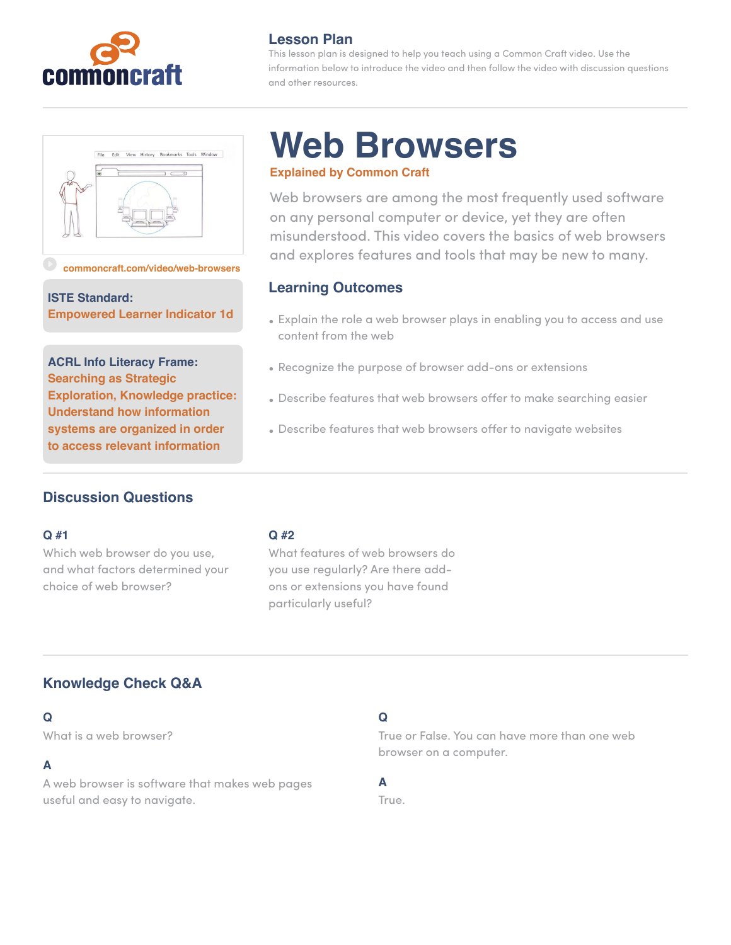



#### **[commoncraft.com/video/web-browsers](http://commoncraft.com/video/primary-and-secondary-sources)**

**ISTE Standard: Empowered Learner Indicator 1d**

**ACRL Info Literacy Frame: Searching as Strategic Exploration, Knowledge practice: Understand how information systems are organized in order to access relevant information**

## **Lesson Plan**

This lesson plan is designed to help you teach using a Common Craft video. Use the information below to introduce the video and then follow the video with discussion questions and other resources.

# **Web Browsers Explained by Common Craft**

Web browsers are among the most frequently used software on any personal computer or device, yet they are often misunderstood. This video covers the basics of web browsers and explores features and tools that may be new to many.

## **Learning Outcomes**

- Explain the role a web browser plays in enabling you to access and use content from the web
- Recognize the purpose of browser add-ons or extensions
- Describe features that web browsers offer to make searching easier
- Describe features that web browsers offer to navigate websites

# **Discussion Questions**

## **Q #1**

Which web browser do you use, and what factors determined your choice of web browser?

#### **Q #2**

What features of web browsers do you use regularly? Are there addons or extensions you have found particularly useful?

# **Knowledge Check Q&A**

## **Q**

What is a web browser?

## **A**

A web browser is software that makes web pages useful and easy to navigate.

## **Q**

True or False. You can have more than one web browser on a computer.

## **A**

True.